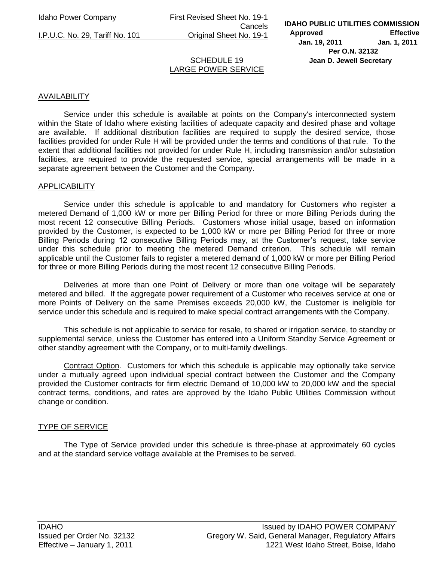Idaho Power Company First Revised Sheet No. 19-1 Cancels I.P.U.C. No. 29, Tariff No. 101 Original Sheet No. 19-1

## SCHEDULE 19 LARGE POWER SERVICE

## AVAILABILITY

Service under this schedule is available at points on the Company's interconnected system within the State of Idaho where existing facilities of adequate capacity and desired phase and voltage are available. If additional distribution facilities are required to supply the desired service, those facilities provided for under Rule H will be provided under the terms and conditions of that rule. To the extent that additional facilities not provided for under Rule H, including transmission and/or substation facilities, are required to provide the requested service, special arrangements will be made in a separate agreement between the Customer and the Company.

#### APPLICABILITY

Service under this schedule is applicable to and mandatory for Customers who register a metered Demand of 1,000 kW or more per Billing Period for three or more Billing Periods during the most recent 12 consecutive Billing Periods. Customers whose initial usage, based on information provided by the Customer, is expected to be 1,000 kW or more per Billing Period for three or more Billing Periods during 12 consecutive Billing Periods may, at the Customer's request, take service under this schedule prior to meeting the metered Demand criterion. This schedule will remain applicable until the Customer fails to register a metered demand of 1,000 kW or more per Billing Period for three or more Billing Periods during the most recent 12 consecutive Billing Periods.

Deliveries at more than one Point of Delivery or more than one voltage will be separately metered and billed. If the aggregate power requirement of a Customer who receives service at one or more Points of Delivery on the same Premises exceeds 20,000 kW, the Customer is ineligible for service under this schedule and is required to make special contract arrangements with the Company.

This schedule is not applicable to service for resale, to shared or irrigation service, to standby or supplemental service, unless the Customer has entered into a Uniform Standby Service Agreement or other standby agreement with the Company, or to multi-family dwellings.

Contract Option. Customers for which this schedule is applicable may optionally take service under a mutually agreed upon individual special contract between the Customer and the Company provided the Customer contracts for firm electric Demand of 10,000 kW to 20,000 kW and the special contract terms, conditions, and rates are approved by the Idaho Public Utilities Commission without change or condition.

### TYPE OF SERVICE

The Type of Service provided under this schedule is three-phase at approximately 60 cycles and at the standard service voltage available at the Premises to be served.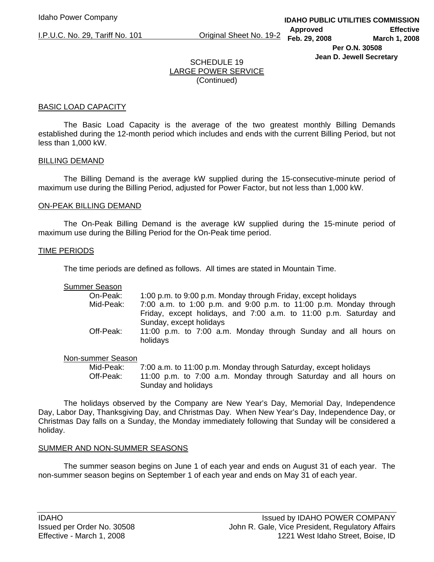I.P.U.C. No. 29, Tariff No. 101 Original Sheet No. 19-2

# SCHEDULE 19 LARGE POWER SERVICE (Continued)

#### BASIC LOAD CAPACITY

 The Basic Load Capacity is the average of the two greatest monthly Billing Demands established during the 12-month period which includes and ends with the current Billing Period, but not less than 1,000 kW.

#### BILLING DEMAND

 The Billing Demand is the average kW supplied during the 15-consecutive-minute period of maximum use during the Billing Period, adjusted for Power Factor, but not less than 1,000 kW.

#### ON-PEAK BILLING DEMAND

 The On-Peak Billing Demand is the average kW supplied during the 15-minute period of maximum use during the Billing Period for the On-Peak time period.

#### TIME PERIODS

The time periods are defined as follows. All times are stated in Mountain Time.

Summer Season

| On-Peak:  | 1:00 p.m. to 9:00 p.m. Monday through Friday, except holidays              |
|-----------|----------------------------------------------------------------------------|
| Mid-Peak: | 7:00 a.m. to 1:00 p.m. and 9:00 p.m. to 11:00 p.m. Monday through          |
|           | Friday, except holidays, and 7:00 a.m. to 11:00 p.m. Saturday and          |
|           | Sunday, except holidays                                                    |
| Off-Peak: | 11:00 p.m. to 7:00 a.m. Monday through Sunday and all hours on<br>holidays |

#### Non-summer Season

 Mid-Peak: 7:00 a.m. to 11:00 p.m. Monday through Saturday, except holidays Off-Peak: 11:00 p.m. to 7:00 a.m. Monday through Saturday and all hours on Sunday and holidays

 The holidays observed by the Company are New Year's Day, Memorial Day, Independence Day, Labor Day, Thanksgiving Day, and Christmas Day. When New Year's Day, Independence Day, or Christmas Day falls on a Sunday, the Monday immediately following that Sunday will be considered a holiday.

#### SUMMER AND NON-SUMMER SEASONS

 The summer season begins on June 1 of each year and ends on August 31 of each year. The non-summer season begins on September 1 of each year and ends on May 31 of each year.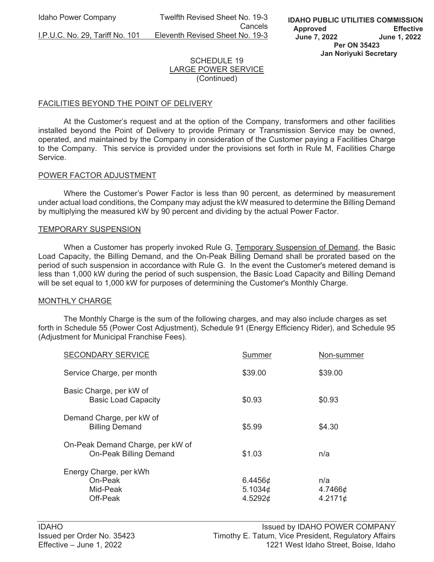Idaho Power Company Twelfth Revised Sheet No. 19-3 **Cancels Cancels** I.P.U.C. No. 29, Tariff No. 101 Eleventh Revised Sheet No. 19-3

### SCHEDULE 19 LARGE POWER SERVICE (Continued)

### FACILITIES BEYOND THE POINT OF DELIVERY

 At the Customer's request and at the option of the Company, transformers and other facilities installed beyond the Point of Delivery to provide Primary or Transmission Service may be owned, operated, and maintained by the Company in consideration of the Customer paying a Facilities Charge to the Company. This service is provided under the provisions set forth in Rule M, Facilities Charge Service.

#### POWER FACTOR ADJUSTMENT

 Where the Customer's Power Factor is less than 90 percent, as determined by measurement under actual load conditions, the Company may adjust the kW measured to determine the Billing Demand by multiplying the measured kW by 90 percent and dividing by the actual Power Factor.

#### TEMPORARY SUSPENSION

 When a Customer has properly invoked Rule G, Temporary Suspension of Demand, the Basic Load Capacity, the Billing Demand, and the On-Peak Billing Demand shall be prorated based on the period of such suspension in accordance with Rule G. In the event the Customer's metered demand is less than 1,000 kW during the period of such suspension, the Basic Load Capacity and Billing Demand will be set equal to 1,000 kW for purposes of determining the Customer's Monthly Charge.

#### MONTHLY CHARGE

 The Monthly Charge is the sum of the following charges, and may also include charges as set forth in Schedule 55 (Power Cost Adjustment), Schedule 91 (Energy Efficiency Rider), and Schedule 95 (Adjustment for Municipal Franchise Fees).

| <b>SECONDARY SERVICE</b>                                          | Summer                                    | Non-summer                |
|-------------------------------------------------------------------|-------------------------------------------|---------------------------|
| Service Charge, per month                                         | \$39.00                                   | \$39.00                   |
| Basic Charge, per kW of<br><b>Basic Load Capacity</b>             | \$0.93                                    | \$0.93                    |
| Demand Charge, per kW of<br><b>Billing Demand</b>                 | \$5.99                                    | \$4.30                    |
| On-Peak Demand Charge, per kW of<br><b>On-Peak Billing Demand</b> | \$1.03                                    | n/a                       |
| Energy Charge, per kWh<br>On-Peak<br>Mid-Peak<br>Off-Peak         | 6.4456 $\phi$<br>5.1034 $\phi$<br>4.5292¢ | n/a<br>4.7466¢<br>4.2171¢ |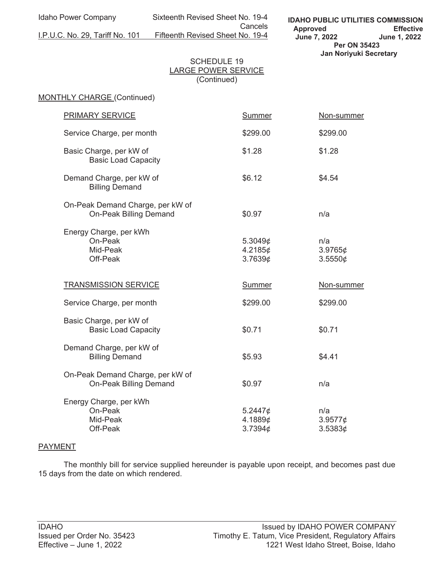Idaho Power Company Sixteenth Revised Sheet No. 19-4 Cancels<br>I.P.U.C. No. 29, Tariff No. 101 Fifteenth Revised Sheet No. 19-4 Fifteenth Revised Sheet No. 19-4

**IDAHO PUBLIC UTILITIES COMMISSION Approved Effective June 7, 2022 June 1, 2022 Per ON 35423 Jan Noriyuki Secretary**

#### SCHEDULE 19 LARGE POWER SERVICE (Continued)

# MONTHLY CHARGE (Continued)

| <b>PRIMARY SERVICE</b>                                            | <b>Summer</b>                 | Non-summer                      |
|-------------------------------------------------------------------|-------------------------------|---------------------------------|
| Service Charge, per month                                         | \$299.00                      | \$299.00                        |
| Basic Charge, per kW of<br><b>Basic Load Capacity</b>             | \$1.28                        | \$1.28                          |
| Demand Charge, per kW of<br><b>Billing Demand</b>                 | \$6.12                        | \$4.54                          |
| On-Peak Demand Charge, per kW of<br><b>On-Peak Billing Demand</b> | \$0.97                        | n/a                             |
| Energy Charge, per kWh<br>On-Peak<br>Mid-Peak<br>Off-Peak         | 5.3049¢<br>4.2185¢<br>3.76396 | n/a<br>$3.9765\phi$<br>3.5550¢  |
| <b>TRANSMISSION SERVICE</b>                                       | <b>Summer</b>                 | Non-summer                      |
| Service Charge, per month                                         | \$299.00                      | \$299.00                        |
| Basic Charge, per kW of<br><b>Basic Load Capacity</b>             | \$0.71                        | \$0.71                          |
| Demand Charge, per kW of<br><b>Billing Demand</b>                 | \$5.93                        | \$4.41                          |
| On-Peak Demand Charge, per kW of<br><b>On-Peak Billing Demand</b> | \$0.97                        | n/a                             |
| Energy Charge, per kWh<br>On-Peak<br>Mid-Peak<br>Off-Peak         | 5.2447¢<br>4.1889¢<br>3.7394¢ | n/a<br>3.9577 $\phi$<br>3.53836 |

#### PAYMENT

 The monthly bill for service supplied hereunder is payable upon receipt, and becomes past due 15 days from the date on which rendered.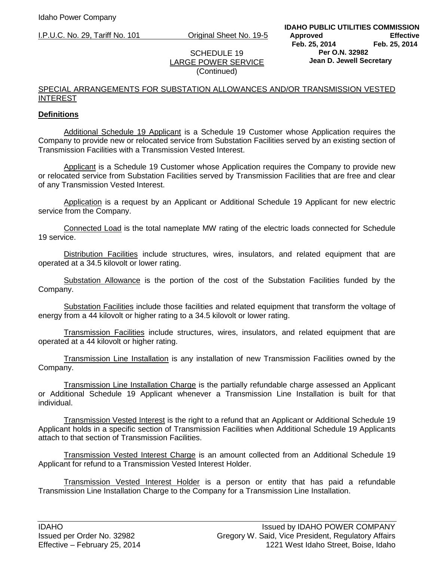I.P.U.C. No. 29, Tariff No. 101 Original Sheet No. 19-5

### SCHEDULE 19 LARGE POWER SERVICE (Continued)

### SPECIAL ARRANGEMENTS FOR SUBSTATION ALLOWANCES AND/OR TRANSMISSION VESTED INTEREST

## **Definitions**

Additional Schedule 19 Applicant is a Schedule 19 Customer whose Application requires the Company to provide new or relocated service from Substation Facilities served by an existing section of Transmission Facilities with a Transmission Vested Interest.

Applicant is a Schedule 19 Customer whose Application requires the Company to provide new or relocated service from Substation Facilities served by Transmission Facilities that are free and clear of any Transmission Vested Interest.

Application is a request by an Applicant or Additional Schedule 19 Applicant for new electric service from the Company.

Connected Load is the total nameplate MW rating of the electric loads connected for Schedule 19 service.

Distribution Facilities include structures, wires, insulators, and related equipment that are operated at a 34.5 kilovolt or lower rating.

Substation Allowance is the portion of the cost of the Substation Facilities funded by the Company.

Substation Facilities include those facilities and related equipment that transform the voltage of energy from a 44 kilovolt or higher rating to a 34.5 kilovolt or lower rating.

Transmission Facilities include structures, wires, insulators, and related equipment that are operated at a 44 kilovolt or higher rating.

Transmission Line Installation is any installation of new Transmission Facilities owned by the Company.

Transmission Line Installation Charge is the partially refundable charge assessed an Applicant or Additional Schedule 19 Applicant whenever a Transmission Line Installation is built for that individual.

Transmission Vested Interest is the right to a refund that an Applicant or Additional Schedule 19 Applicant holds in a specific section of Transmission Facilities when Additional Schedule 19 Applicants attach to that section of Transmission Facilities.

Transmission Vested Interest Charge is an amount collected from an Additional Schedule 19 Applicant for refund to a Transmission Vested Interest Holder.

Transmission Vested Interest Holder is a person or entity that has paid a refundable Transmission Line Installation Charge to the Company for a Transmission Line Installation.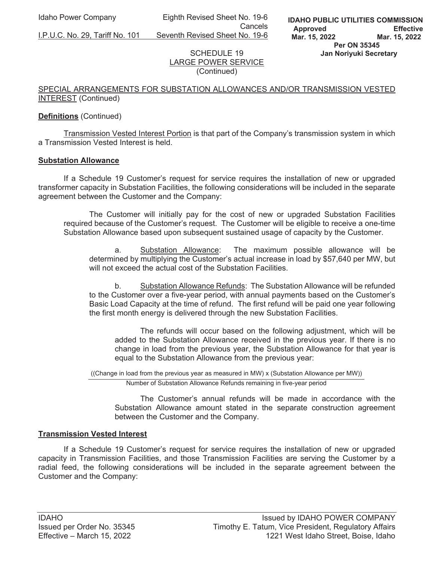Idaho Power Company Eighth Revised Sheet No. 19-6 **Cancels** 

I.P.U.C. No. 29, Tariff No. 101 Seventh Revised Sheet No. 19-6

### SCHEDULE 19 LARGE POWER SERVICE (Continued)

### SPECIAL ARRANGEMENTS FOR SUBSTATION ALLOWANCES AND/OR TRANSMISSION VESTED INTEREST (Continued)

## **Definitions** (Continued)

Transmission Vested Interest Portion is that part of the Company's transmission system in which a Transmission Vested Interest is held.

### **Substation Allowance**

If a Schedule 19 Customer's request for service requires the installation of new or upgraded transformer capacity in Substation Facilities, the following considerations will be included in the separate agreement between the Customer and the Company:

The Customer will initially pay for the cost of new or upgraded Substation Facilities required because of the Customer's request. The Customer will be eligible to receive a one-time Substation Allowance based upon subsequent sustained usage of capacity by the Customer.

a. Substation Allowance: The maximum possible allowance will be determined by multiplying the Customer's actual increase in load by \$57,640 per MW, but will not exceed the actual cost of the Substation Facilities.

b. Substation Allowance Refunds: The Substation Allowance will be refunded to the Customer over a five-year period, with annual payments based on the Customer's Basic Load Capacity at the time of refund. The first refund will be paid one year following the first month energy is delivered through the new Substation Facilities.

The refunds will occur based on the following adjustment, which will be added to the Substation Allowance received in the previous year. If there is no change in load from the previous year, the Substation Allowance for that year is equal to the Substation Allowance from the previous year:

((Change in load from the previous year as measured in MW) x (Substation Allowance per MW))

Number of Substation Allowance Refunds remaining in five-year period

The Customer's annual refunds will be made in accordance with the Substation Allowance amount stated in the separate construction agreement between the Customer and the Company.

### **Transmission Vested Interest**

If a Schedule 19 Customer's request for service requires the installation of new or upgraded capacity in Transmission Facilities, and those Transmission Facilities are serving the Customer by a radial feed, the following considerations will be included in the separate agreement between the Customer and the Company: